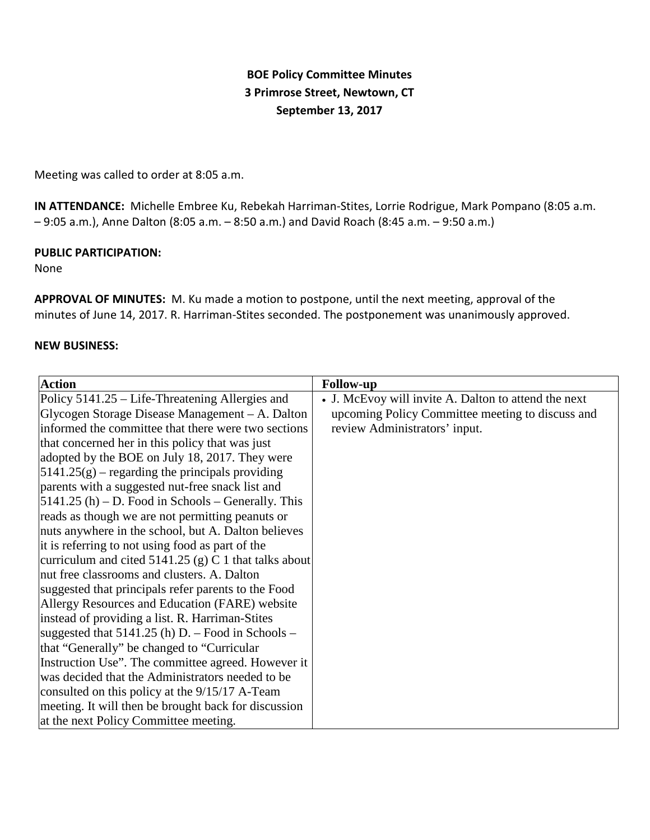# **BOE Policy Committee Minutes 3 Primrose Street, Newtown, CT September 13, 2017**

Meeting was called to order at 8:05 a.m.

**IN ATTENDANCE:** Michelle Embree Ku, Rebekah Harriman-Stites, Lorrie Rodrigue, Mark Pompano (8:05 a.m. – 9:05 a.m.), Anne Dalton (8:05 a.m. – 8:50 a.m.) and David Roach (8:45 a.m. – 9:50 a.m.)

## **PUBLIC PARTICIPATION:**

None

**APPROVAL OF MINUTES:** M. Ku made a motion to postpone, until the next meeting, approval of the minutes of June 14, 2017. R. Harriman-Stites seconded. The postponement was unanimously approved.

#### **NEW BUSINESS:**

| <b>Action</b>                                           | <b>Follow-up</b>                                     |
|---------------------------------------------------------|------------------------------------------------------|
| Policy 5141.25 – Life-Threatening Allergies and         | • J. McEvoy will invite A. Dalton to attend the next |
| Glycogen Storage Disease Management – A. Dalton         | upcoming Policy Committee meeting to discuss and     |
| informed the committee that there were two sections     | review Administrators' input.                        |
| that concerned her in this policy that was just         |                                                      |
| adopted by the BOE on July 18, 2017. They were          |                                                      |
| $5141.25(g)$ – regarding the principals providing       |                                                      |
| parents with a suggested nut-free snack list and        |                                                      |
| $[5141.25(h) - D.$ Food in Schools – Generally. This    |                                                      |
| reads as though we are not permitting peanuts or        |                                                      |
| nuts anywhere in the school, but A. Dalton believes     |                                                      |
| it is referring to not using food as part of the        |                                                      |
| curriculum and cited $5141.25$ (g) C 1 that talks about |                                                      |
| nut free classrooms and clusters. A. Dalton             |                                                      |
| suggested that principals refer parents to the Food     |                                                      |
| Allergy Resources and Education (FARE) website          |                                                      |
| instead of providing a list. R. Harriman-Stites         |                                                      |
| suggested that $5141.25$ (h) D. – Food in Schools –     |                                                      |
| that "Generally" be changed to "Curricular              |                                                      |
| Instruction Use". The committee agreed. However it      |                                                      |
| was decided that the Administrators needed to be        |                                                      |
| consulted on this policy at the 9/15/17 A-Team          |                                                      |
| meeting. It will then be brought back for discussion    |                                                      |
| at the next Policy Committee meeting.                   |                                                      |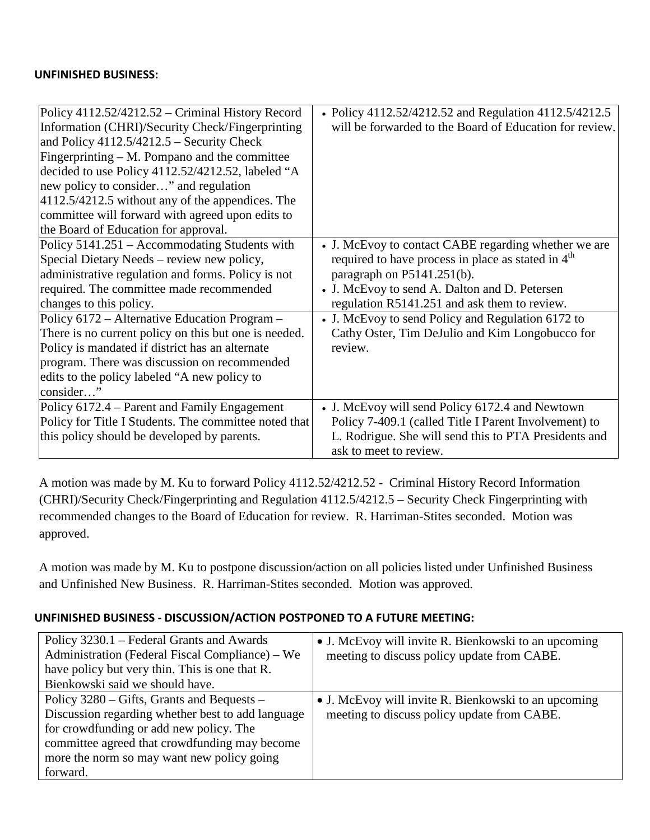### **UNFINISHED BUSINESS:**

| Policy 4112.52/4212.52 - Criminal History Record      | • Policy 4112.52/4212.52 and Regulation 4112.5/4212.5          |
|-------------------------------------------------------|----------------------------------------------------------------|
| Information (CHRI)/Security Check/Fingerprinting      | will be forwarded to the Board of Education for review.        |
| and Policy $4112.5/4212.5$ – Security Check           |                                                                |
| Fingerprinting $- M$ . Pompano and the committee      |                                                                |
| decided to use Policy 4112.52/4212.52, labeled "A     |                                                                |
| new policy to consider" and regulation                |                                                                |
| 4112.5/4212.5 without any of the appendices. The      |                                                                |
| committee will forward with agreed upon edits to      |                                                                |
| the Board of Education for approval.                  |                                                                |
| Policy 5141.251 – Accommodating Students with         | • J. McEvoy to contact CABE regarding whether we are           |
| Special Dietary Needs – review new policy,            | required to have process in place as stated in 4 <sup>th</sup> |
| administrative regulation and forms. Policy is not    | paragraph on P5141.251(b).                                     |
| required. The committee made recommended              | • J. McEvoy to send A. Dalton and D. Petersen                  |
| changes to this policy.                               | regulation R5141.251 and ask them to review.                   |
| Policy 6172 – Alternative Education Program –         | • J. McEvoy to send Policy and Regulation 6172 to              |
| There is no current policy on this but one is needed. | Cathy Oster, Tim DeJulio and Kim Longobucco for                |
| Policy is mandated if district has an alternate       | review.                                                        |
| program. There was discussion on recommended          |                                                                |
| edits to the policy labeled "A new policy to          |                                                                |
| consider"                                             |                                                                |
| Policy 6172.4 – Parent and Family Engagement          | • J. McEvoy will send Policy 6172.4 and Newtown                |
| Policy for Title I Students. The committee noted that | Policy 7-409.1 (called Title I Parent Involvement) to          |
| this policy should be developed by parents.           | L. Rodrigue. She will send this to PTA Presidents and          |
|                                                       | ask to meet to review.                                         |

A motion was made by M. Ku to forward Policy 4112.52/4212.52 - Criminal History Record Information (CHRI)/Security Check/Fingerprinting and Regulation 4112.5/4212.5 – Security Check Fingerprinting with recommended changes to the Board of Education for review. R. Harriman-Stites seconded. Motion was approved.

A motion was made by M. Ku to postpone discussion/action on all policies listed under Unfinished Business and Unfinished New Business. R. Harriman-Stites seconded. Motion was approved.

## **UNFINISHED BUSINESS - DISCUSSION/ACTION POSTPONED TO A FUTURE MEETING:**

| Policy 3230.1 – Federal Grants and Awards         | • J. McEvoy will invite R. Bienkowski to an upcoming |
|---------------------------------------------------|------------------------------------------------------|
| Administration (Federal Fiscal Compliance) – We   | meeting to discuss policy update from CABE.          |
| have policy but very thin. This is one that R.    |                                                      |
| Bienkowski said we should have.                   |                                                      |
| Policy 3280 – Gifts, Grants and Bequests –        | • J. McEvoy will invite R. Bienkowski to an upcoming |
| Discussion regarding whether best to add language | meeting to discuss policy update from CABE.          |
| for crowdfunding or add new policy. The           |                                                      |
| committee agreed that crowdfunding may become     |                                                      |
| more the norm so may want new policy going        |                                                      |
| forward.                                          |                                                      |